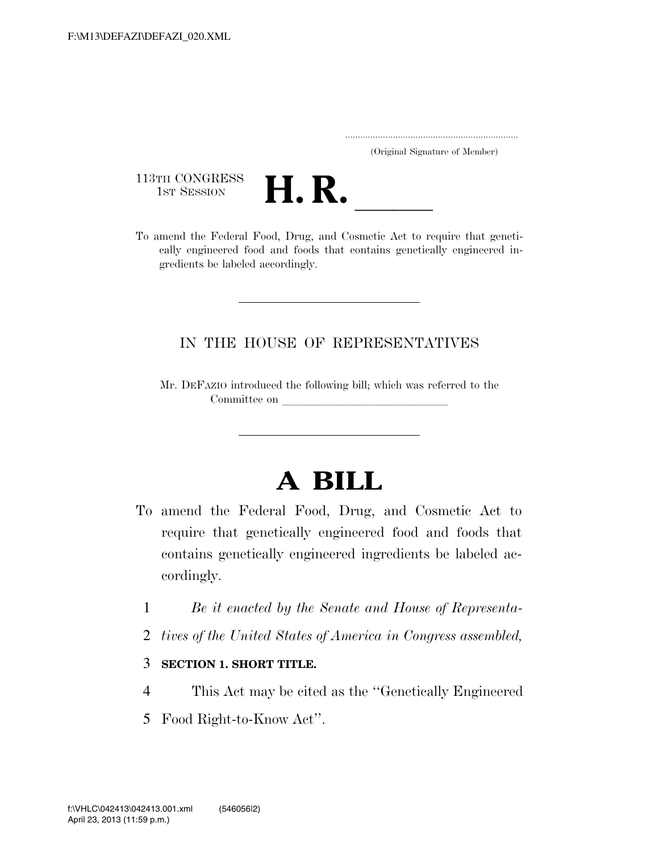..................................................................... (Original Signature of Member)

113TH CONGRESS<br>1st Session



113TH CONGRESS<br>1st SESSION **H. R.** <u>Indeed Food, Drug, and Cosmetic Act to require that geneti-</u> cally engineered food and foods that contains genetically engineered ingredients be labeled accordingly.

## IN THE HOUSE OF REPRESENTATIVES

Mr. DEFAZIO introduced the following bill; which was referred to the Committee on

## **A BILL**

- To amend the Federal Food, Drug, and Cosmetic Act to require that genetically engineered food and foods that contains genetically engineered ingredients be labeled accordingly.
	- 1 *Be it enacted by the Senate and House of Representa-*
	- 2 *tives of the United States of America in Congress assembled,*
	- 3 **SECTION 1. SHORT TITLE.**
	- 4 This Act may be cited as the ''Genetically Engineered
	- 5 Food Right-to-Know Act''.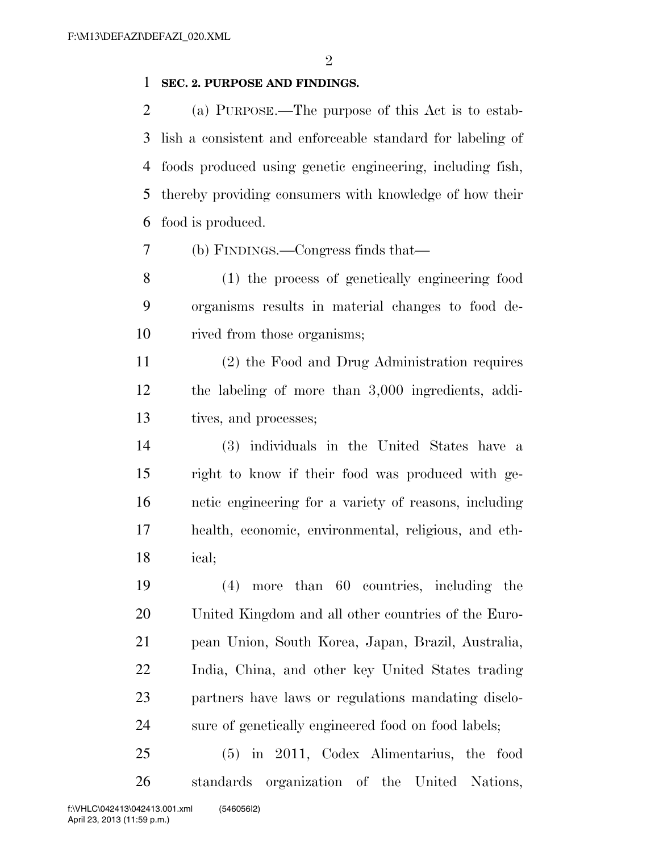## **SEC. 2. PURPOSE AND FINDINGS.**

 (a) PURPOSE.—The purpose of this Act is to estab- lish a consistent and enforceable standard for labeling of foods produced using genetic engineering, including fish, thereby providing consumers with knowledge of how their food is produced.

(b) FINDINGS.—Congress finds that—

 (1) the process of genetically engineering food organisms results in material changes to food de-rived from those organisms;

 (2) the Food and Drug Administration requires the labeling of more than 3,000 ingredients, addi-tives, and processes;

 (3) individuals in the United States have a right to know if their food was produced with ge- netic engineering for a variety of reasons, including health, economic, environmental, religious, and eth-ical;

 (4) more than 60 countries, including the United Kingdom and all other countries of the Euro- pean Union, South Korea, Japan, Brazil, Australia, India, China, and other key United States trading partners have laws or regulations mandating disclo-sure of genetically engineered food on food labels;

 (5) in 2011, Codex Alimentarius, the food standards organization of the United Nations,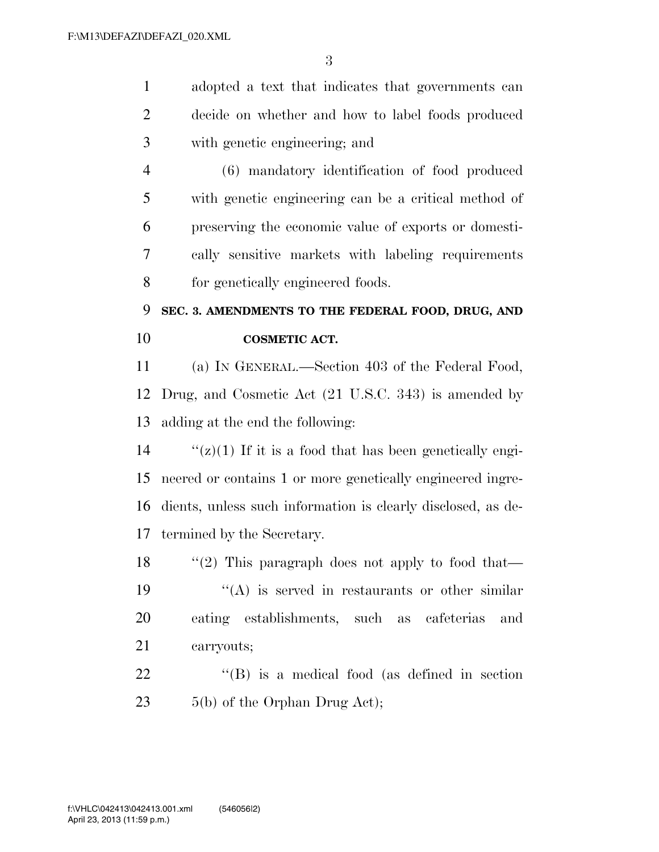adopted a text that indicates that governments can decide on whether and how to label foods produced with genetic engineering; and

 (6) mandatory identification of food produced with genetic engineering can be a critical method of preserving the economic value of exports or domesti- cally sensitive markets with labeling requirements for genetically engineered foods.

## **SEC. 3. AMENDMENTS TO THE FEDERAL FOOD, DRUG, AND COSMETIC ACT.**

 (a) IN GENERAL.—Section 403 of the Federal Food, Drug, and Cosmetic Act (21 U.S.C. 343) is amended by adding at the end the following:

 $\frac{f'(z)}{1}$  If it is a food that has been genetically engi- neered or contains 1 or more genetically engineered ingre- dients, unless such information is clearly disclosed, as de-termined by the Secretary.

18 "(2) This paragraph does not apply to food that—  $\langle \mathcal{C}(A) \rangle$  is served in restaurants or other similar eating establishments, such as cafeterias and carryouts;

22 ''(B) is a medical food (as defined in section 23 5(b) of the Orphan Drug Act);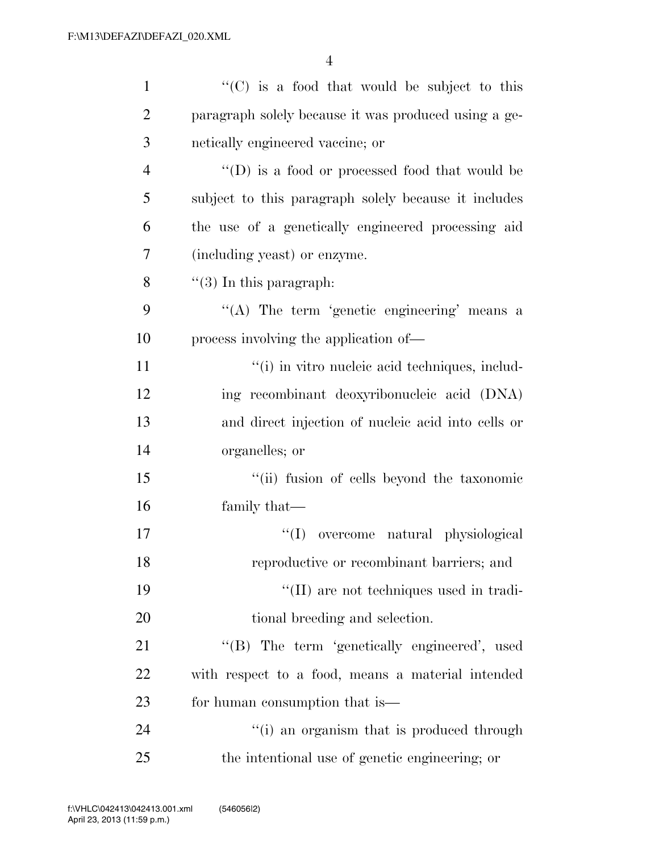| $\mathbf{1}$   | "(C) is a food that would be subject to this                             |
|----------------|--------------------------------------------------------------------------|
| $\overline{2}$ | paragraph solely because it was produced using a ge-                     |
| 3              | netically engineered vaccine; or                                         |
| $\overline{4}$ | $\lq\lq\lq\lq\lq\lq\lq\lq\lq\lq\lq$ food or processed food that would be |
| 5              | subject to this paragraph solely because it includes                     |
| 6              | the use of a genetically engineered processing aid                       |
| 7              | (including yeast) or enzyme.                                             |
| 8              | $\lq(3)$ In this paragraph:                                              |
| 9              | "(A) The term 'genetic engineering' means a                              |
| 10             | process involving the application of—                                    |
| 11             | "(i) in vitro nucleic acid techniques, includ-                           |
| 12             | ing recombinant deoxyribonucleic acid (DNA)                              |
| 13             | and direct injection of nucleic acid into cells or                       |
| 14             | organelles; or                                                           |
| 15             | "(ii) fusion of cells beyond the taxonomic                               |
| 16             | family that—                                                             |
| 17             | ``(I)<br>overcome natural physiological                                  |
| 18             | reproductive or recombinant barriers; and                                |
| 19             | "(II) are not techniques used in tradi-                                  |
| 20             | tional breeding and selection.                                           |
| 21             | "(B) The term 'genetically engineered', used                             |
| 22             | with respect to a food, means a material intended                        |
| 23             | for human consumption that is—                                           |
| 24             | "(i) an organism that is produced through                                |
| 25             | the intentional use of genetic engineering; or                           |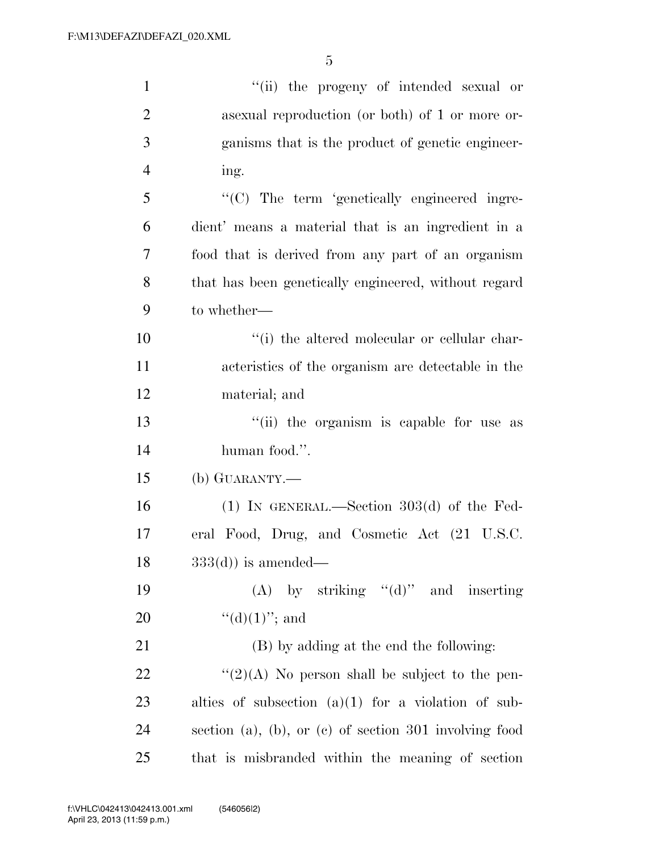| $\mathbf{1}$   | "(ii) the progeny of intended sexual or                  |
|----------------|----------------------------------------------------------|
| $\mathfrak{2}$ | as a sexual reproduction (or both) of 1 or more or-      |
| 3              | ganisms that is the product of genetic engineer-         |
| $\overline{4}$ | ing.                                                     |
| 5              | "(C) The term 'genetically engineered ingre-             |
| 6              | dient' means a material that is an ingredient in a       |
| 7              | food that is derived from any part of an organism        |
| 8              | that has been genetically engineered, without regard     |
| 9              | to whether—                                              |
| 10             | "(i) the altered molecular or cellular char-             |
| 11             | acteristics of the organism are detectable in the        |
| 12             | material; and                                            |
| 13             | "(ii) the organism is capable for use as                 |
| 14             | human food.".                                            |
| 15             | (b) GUARANTY.—                                           |
| 16             | $(1)$ IN GENERAL.—Section 303 $(d)$ of the Fed-          |
| 17             | eral Food, Drug, and Cosmetic Act (21 U.S.C.             |
| 18             | $333(d)$ ) is amended—                                   |
| 19             | (A) by striking $"(\mathrm{d})"$ and inserting           |
| 20             | " $(d)(1)$ "; and                                        |
| 21             | (B) by adding at the end the following:                  |
| 22             | " $(2)(A)$ No person shall be subject to the pen-        |
| 23             | alties of subsection $(a)(1)$ for a violation of sub-    |
| 24             | section (a), (b), or (c) of section $301$ involving food |
| 25             | that is misbranded within the meaning of section         |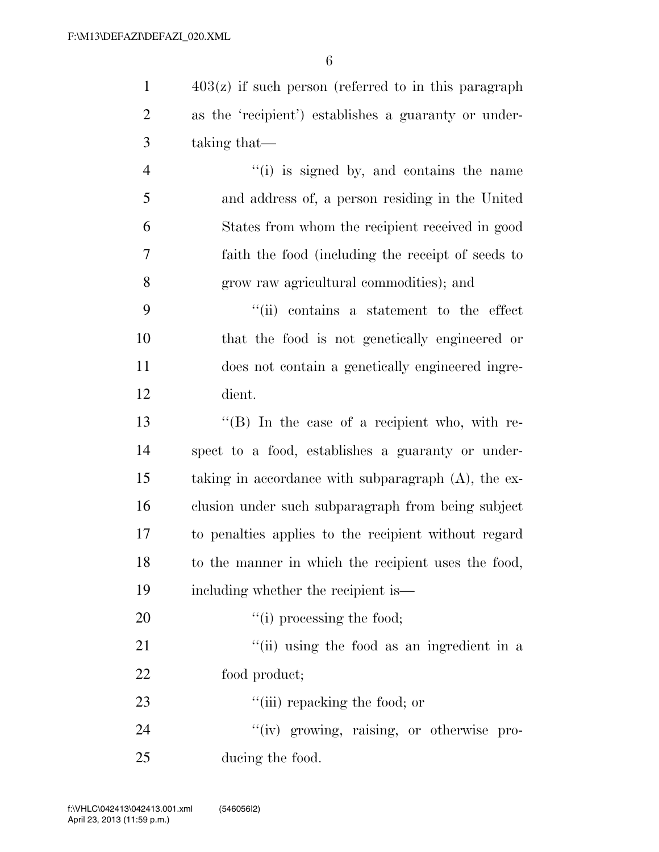403(z) if such person (referred to in this paragraph as the 'recipient') establishes a guaranty or under-taking that—

 ''(i) is signed by, and contains the name and address of, a person residing in the United States from whom the recipient received in good faith the food (including the receipt of seeds to grow raw agricultural commodities); and

 ''(ii) contains a statement to the effect that the food is not genetically engineered or does not contain a genetically engineered ingre-dient.

 ''(B) In the case of a recipient who, with re- spect to a food, establishes a guaranty or under- taking in accordance with subparagraph (A), the ex- clusion under such subparagraph from being subject to penalties applies to the recipient without regard to the manner in which the recipient uses the food, including whether the recipient is—

 $"(i)$  processing the food; 21 ''(ii) using the food as an ingredient in a food product;  $\frac{1}{2}$   $\frac{1}{2}$   $\frac{1}{2}$  repacking the food; or

24  $''(iv)$  growing, raising, or otherwise pro-ducing the food.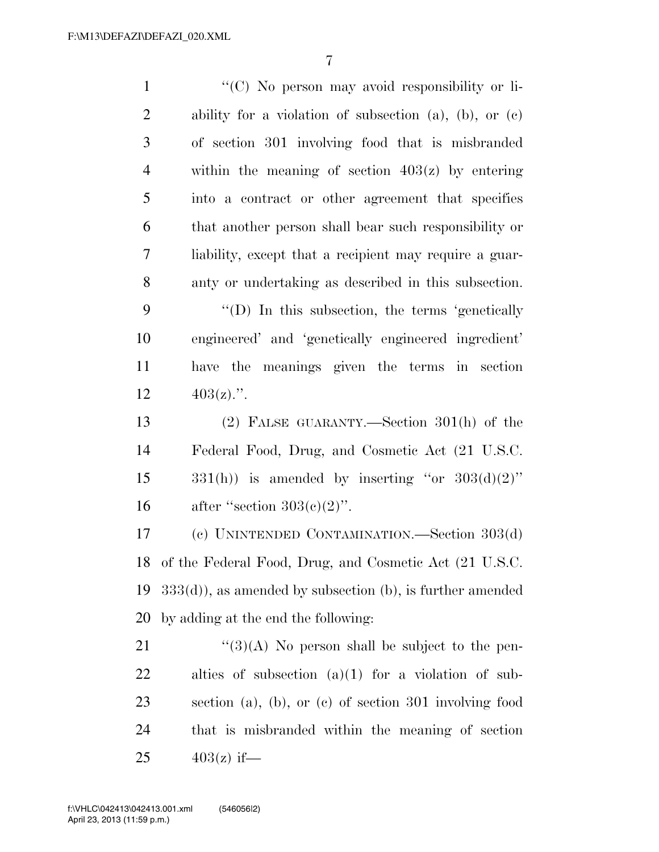| $\mathbf{1}$   | "(C) No person may avoid responsibility or li-              |
|----------------|-------------------------------------------------------------|
| $\overline{2}$ | ability for a violation of subsection (a), (b), or $(c)$    |
| 3              | of section 301 involving food that is misbranded            |
| $\overline{4}$ | within the meaning of section $403(z)$ by entering          |
| 5              | into a contract or other agreement that specifies           |
| 6              | that another person shall bear such responsibility or       |
| 7              | liability, except that a recipient may require a guar-      |
| 8              | anty or undertaking as described in this subsection.        |
| 9              | $\lq\lq$ (D) In this subsection, the terms 'genetically     |
| 10             | engineered' and 'genetically engineered ingredient'         |
| 11             | have the meanings given the terms in section                |
| 12             | $403(z)$ .".                                                |
| 13             | $(2)$ FALSE GUARANTY.—Section 301(h) of the                 |
| 14             | Federal Food, Drug, and Cosmetic Act (21 U.S.C.             |
| 15             | $331(h)$ ) is amended by inserting "or $303(d)(2)$ "        |
| 16             | after "section $303(e)(2)$ ".                               |
| 17             | (c) UNINTENDED CONTAMINATION.—Section 303(d)                |
| 18             | of the Federal Food, Drug, and Cosmetic Act (21 U.S.C.      |
| 19             | $333(d)$ , as amended by subsection (b), is further amended |
| 20             | by adding at the end the following:                         |
| 21             | $\lq(3)(A)$ No person shall be subject to the pen-          |
| <u>22</u>      | alties of subsection $(a)(1)$ for a violation of sub-       |
| 23             | section (a), (b), or (c) of section $301$ involving food    |
| 24             | that is misbranded within the meaning of section            |
| 25             | $403(z)$ if—                                                |